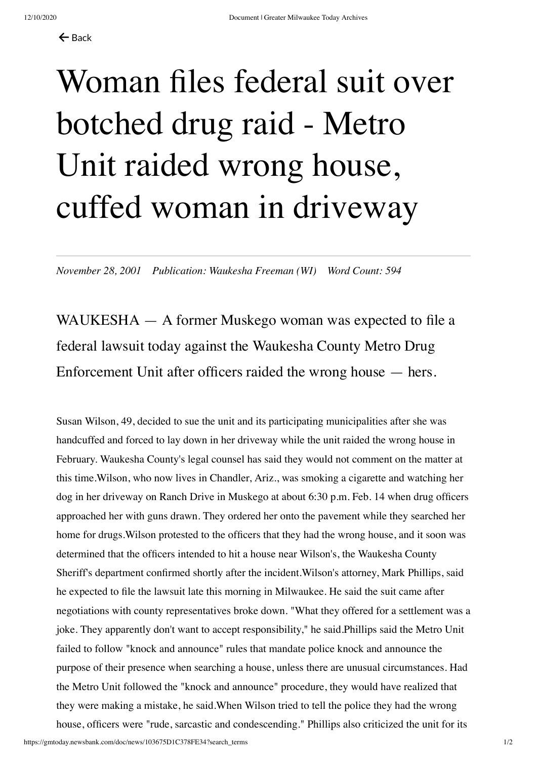## Woman files federal suit over botched drug raid - Metro Unit raided wrong house, cuffed woman in driveway

*November 28, 2001 Publication: Waukesha Freeman (WI) Word Count: 594*

WAUKESHA — A former Muskego woman was expected to file a federal lawsuit today against the Waukesha County Metro Drug Enforcement Unit after officers raided the wrong house — hers.

Susan Wilson, 49, decided to sue the unit and its participating municipalities after she was handcuffed and forced to lay down in her driveway while the unit raided the wrong house in February. Waukesha County's legal counsel has said they would not comment on the matter at this time.Wilson, who now lives in Chandler, Ariz., was smoking a cigarette and watching her dog in her driveway on Ranch Drive in Muskego at about 6:30 p.m. Feb. 14 when drug officers approached her with guns drawn. They ordered her onto the pavement while they searched her home for drugs.Wilson protested to the officers that they had the wrong house, and it soon was determined that the officers intended to hit a house near Wilson's, the Waukesha County Sheriff's department confirmed shortly after the incident.Wilson's attorney, Mark Phillips, said he expected to file the lawsuit late this morning in Milwaukee. He said the suit came after negotiations with county representatives broke down. "What they offered for a settlement was a joke. They apparently don't want to accept responsibility," he said.Phillips said the Metro Unit failed to follow "knock and announce" rules that mandate police knock and announce the purpose of their presence when searching a house, unless there are unusual circumstances. Had the Metro Unit followed the "knock and announce" procedure, they would have realized that they were making a mistake, he said.When Wilson tried to tell the police they had the wrong house, officers were "rude, sarcastic and condescending." Phillips also criticized the unit for its